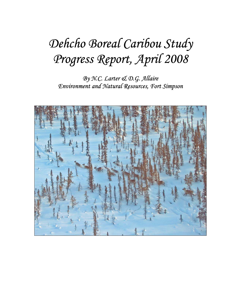# *Dehcho Boreal Caribou Study Progress Report, April 2008*

*By N.C. Larter & D.G. Allaire Environment and Natural Resources, Fort Simpson* 

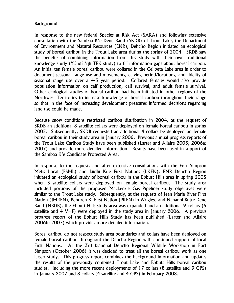## **Background**

In response to the new federal Species at Risk Act (SARA) and following extensive consultation with the Sambaa K'e Dene Band (SKDB) of Trout Lake, the Department of Environment and Natural Resources (ENR), Dehcho Region initiated an ecological study of boreal caribou in the Trout Lake area during the spring of 2004. SKDB saw the benefits of combining information from this study with their own traditional knowledge study (Yúndíit'qh TEK study) to fill information gaps about boreal caribou. An initial ten female boreal caribou were collared in the Celibeta Lake area in order to document seasonal range use and movements, calving period/locations, and fidelity of seasonal range use over a 4-5 year period. Collared females would also provide population information on calf production, calf survival, and adult female survival. Other ecological studies of boreal caribou had been initiated in other regions of the Northwest Territories to increase knowledge of boreal caribou throughout their range so that in the face of increasing development pressures informed decisions regarding land use could be made.

Because snow conditions restricted caribou distribution in 2004, at the request of SKDB an additional 8 satellite collars were deployed on female boreal caribou in spring 2005. Subsequently, SKDB requested an additional 4 collars be deployed on female boreal caribou in their study area in January 2006. Previous annual progress reports of the Trout Lake Caribou Study have been published (Larter and Allaire 2005; 2006a: 2007) and provide more detailed information. Results have been used in support of the Sambaa K'e Candidate Protected Area.

In response to the requests and after extensive consultations with the Fort Simpson Métis Local (FSML) and Liidlii Kue First Nations (LKFN), ENR Dehcho Region initiated an ecological study of boreal caribou in the Ebbutt Hills area in spring 2005 when 5 satellite collars were deployed on female boreal caribou. The study area included portions of the proposed Mackenzie Gas Pipeline; study objectives were similar to the Trout Lake study. Subsequently, at the requests of Jean Marie River First Nation (JMRFN), Pehdzeh Ki First Nation (PKFN) in Wrigley, and Nahanni Butte Dene Band (NBDB), the Ebbutt Hills study area was expanded and an additional 9 collars (5 satellite and 4 VHF) were deployed in the study area in January 2006. A previous progress report of the Ebbutt Hills Study has been published (Larter and Allaire 2006b; 2007) which provides more detailed information.

Boreal caribou do not respect study area boundaries and collars have been deployed on female boreal caribou throughout the Dehcho Region with continued support of local First Nations. At the 3rd biannual Dehcho Regional Wildlife Workshop in Fort Simpson (October 2006) it was decided to treat all the boreal caribou work as one larger study. This progress report combines the background information and updates the results of the previously combined Trout Lake and Ebbutt Hills boreal caribou studies. Including the more recent deployments of 17 collars (8 satellite and 9 GPS) in January 2007 and 8 collars (4 satellite and 4 GPS) in February 2008.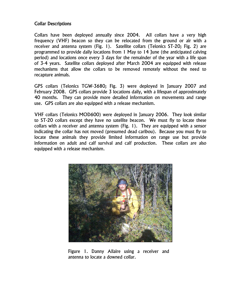## Collar Descriptions

Collars have been deployed annually since 2004. All collars have a very high frequency (VHF) beacon so they can be relocated from the ground or air with a receiver and antenna system (Fig. 1). Satellite collars (Telonics ST-20; Fig. 2) are programmed to provide daily locations from 1 May to 14 June (the anticipated calving period) and locations once every 3 days for the remainder of the year with a life span of 3-4 years. Satellite collars deployed after March 2004 are equipped with release mechanisms that allow the collars to be removed remotely without the need to recapture animals.

GPS collars (Telonics TGW-3680; Fig. 3) were deployed in January 2007 and February 2008. GPS collars provide 3 locations daily, with a lifespan of approximately 40 months. They can provide more detailed information on movements and range use. GPS collars are also equipped with a release mechanism.

VHF collars (Telonics MOD600) were deployed in January 2006. They look similar to ST-20 collars except they have no satellite beacon. We must fly to locate these collars with a receiver and antenna system (Fig. 1). They are equipped with a sensor indicating the collar has not moved (presumed dead caribou). Because you must fly to locate these animals they provide limited information on range use but provide information on adult and calf survival and calf production. These collars are also equipped with a release mechanism.



Figure 1. Danny Allaire using a receiver and antenna to locate a downed collar.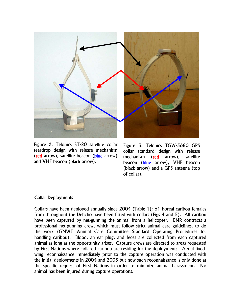

 Figure 2. Telonics ST-20 satellite collar and VHF beacon (black arrow). teardrop design with release mechanism (red arrow), satellite beacon (blue arrow)

Figure 3. Telonics TGW-3680 GPS collar standard design with release mechanism (red arrow), satellite beacon (blue arrow), VHF beacon (black arrow) and a GPS antenna (top of collar).

#### Collar Deployments

Collars have been deployed annually since 2004 (Table 1); 61 boreal caribou females from throughout the Dehcho have been fitted with collars (Figs 4 and 5). All caribou have been captured by net-gunning the animal from a helicopter. ENR contracts a professional net-gunning crew, which must follow strict animal care guidelines, to do the work (GNWT Animal Care Committee Standard Operating Procedures for handling caribou). Blood, an ear plug, and feces are collected from each captured animal as long as the opportunity arises. Capture crews are directed to areas requested by First Nations where collared caribou are residing for the deployments. Aerial fixedwing reconnaissance immediately prior to the capture operation was conducted with the initial deployments in 2004 and 2005 but now such reconnaissance is only done at the specific request of First Nations in order to minimize animal harassment. No animal has been injured during capture operations.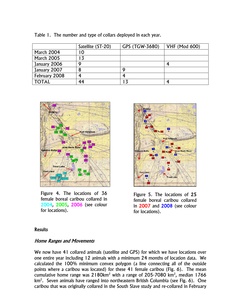|                   | Satellite (ST-20) | GPS (TGW-3680) | <b>VHF (Mod 600)</b> |
|-------------------|-------------------|----------------|----------------------|
| <b>March 2004</b> | 10                |                |                      |
| <b>March 2005</b> |                   |                |                      |
| January 2006      |                   |                |                      |
| January 2007      |                   |                |                      |
| February 2008     |                   |                |                      |
| <b>TOTAL</b>      | 44                |                |                      |





Figure 4. The locations of 36 female boreal caribou collared in 2004, 2005, 2006 (see colour for locations).



Figure 5. The locations of 25 female boreal caribou collared in 2007 and 2008 (see colour for locations).

#### **Results**

## Home Ranges and Movements

We now have 41 collared animals (satellite and GPS) for which we have locations over one entire year including 12 animals with a minimum 24 months of location data. We calculated the 100% minimum convex polygon (a line connecting all of the outside points where a caribou was located) for these 41 female caribou (Fig. 6). The mean cumulative home range was 2180km<sup>2</sup> with a range of 205-7080 km<sup>2</sup>, median 1766 km<sup>2</sup>. Seven animals have ranged into northeastern British Columbia (see Fig. 6). One caribou that was originally collared in the South Slave study and re-collared in February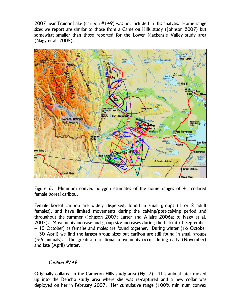2007 near Trainor Lake (caribou #149) was not included in this analysis. Home range sizes we report are similar to those from a Cameron Hills study (Johnson 2007) but somewhat smaller than those reported for the Lower Mackenzie Valley study area (Nagy et al. 2005).



Figure 6. Minimum convex polygon estimates of the home ranges of 41 collared female boreal caribou.

Female boreal caribou are widely dispersed, found in small groups (1 or 2 adult females), and have limited movements during the calving/post-calving period and throughout the summer (Johnson 2007; Larter and Allaire 2006a; b; Nagy et al. 2005). Movements increase and group size increases during the fall/rut (1 September – 15 October) as females and males are found together. During winter (16 October – 30 April) we find the largest group sizes but caribou are still found in small groups (3-5 animals). The greatest directional movements occur during early (November) and late (April) winter.

# Caribou #149

Originally collared in the Cameron Hills study area (Fig. 7). This animal later moved up into the Dehcho study area where she was re-captured and a new collar was deployed on her in February 2007. Her cumulative range (100% minimum convex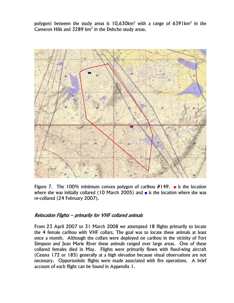polygon) between the study areas is 10,630km<sup>2</sup> with a range of 6391km<sup>2</sup> in the Cameron Hills and  $3289 \text{ km}^2$  in the Dehcho study areas.



Figure 7. The 100% minimum convex polygon of caribou #149. **■** is the location where she was initially collared (10 March 2005) and ■ is the location where she was re-collared (24 February 2007).

## Relocation Flights – primarily for VHF collared animals

From 23 April 2007 to 31 March 2008 we attempted 18 flights primarily to locate the 4 female caribou with VHF collars. The goal was to locate these animals at least once a month. Although the collars were deployed on caribou in the vicinity of Fort Simpson and Jean Marie River these animals ranged over large areas. One of these collared females died in May. Flights were primarily flown with fixed-wing aircraft (Cessna 172 or 185) generally at a high elevation because visual observations are not necessary. Opportunistic flights were made associated with fire operations. A brief account of each flight can be found in Appendix 1.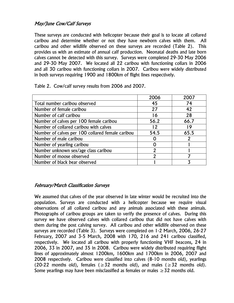# May/June Cow/Calf Surveys

These surveys are conducted with helicopter because their goal is to locate all collared caribou and determine whether or not they have newborn calves with them. All caribou and other wildlife observed on these surveys are recorded (Table 2). This provides us with an estimate of annual calf production. Neonatal deaths and late born calves cannot be detected with this survey. Surveys were completed 29-30 May 2006 and 29-30 May 2007. We located all 22 caribou with functioning collars in 2006 and all 30 caribou with functioning collars in 2007. Caribou were widely distributed in both surveys requiring 1900 and 1800km of flight lines respectively.

|                                                  | 2006           | 2007 |
|--------------------------------------------------|----------------|------|
| Total number caribou observed                    | 45             | 74   |
| Number of female caribou                         | 27             | 42   |
| Number of calf caribou                           | 16             | 28   |
| Number of calves per 100 female caribou          | 56.2           | 66.7 |
| Number of collared caribou with calves           | 12             | ∣ Q  |
| Number of calves per 100 collared female caribou | 54.5           | 65.5 |
| Number of male caribou                           |                |      |
| Number of yearling caribou                       |                |      |
| Number unknown sex/age class caribou             | $\mathfrak{p}$ |      |
| Number of moose observed                         | 2              |      |
| Number of black bear observed                    |                |      |

Table 2. Cow/calf survey results from 2006 and 2007.

## February/March Classification Surveys

We assumed that calves of the year observed in late winter would be recruited into the population. Surveys are conducted with a helicopter because we require visual observations of all collared caribou and any animals associated with these animals. Photographs of caribou groups are taken to verify the presence of calves. During this survey we have observed calves with collared caribou that did not have calves with them during the post calving survey. All caribou and other wildlife observed on these surveys are recorded (Table 3). Surveys were completed on 1-2 March, 2006, 26-27 February, 2007 and 3-5 March, 2008 with 170, 216 and 241 caribou classified, respectively. We located all caribou with properly functioning VHF beacons, 24 in 2006, 33 in 2007, and 35 in 2008. Caribou were widely distributed requiring flight lines of approximately almost 1200km, 1600km and 1700km in 2006, 2007 and 2008 respectively. Caribou were classified into calves (8-10 months old), yearlings (20-22 months old), females ( $\geq$ 32 months old), and males ( $\geq$ 32 months old). Some yearlings may have been misclassified as females or males  $\geq$  32 months old.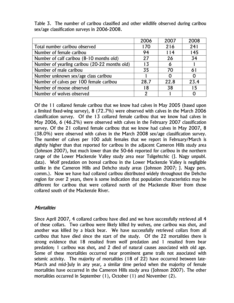| Table 3. The number of caribou classified and other wildlife observed during caribou |  |  |  |  |
|--------------------------------------------------------------------------------------|--|--|--|--|
| sex/age classification surveys in 2006-2008.                                         |  |  |  |  |

|                                               | 2006 | 2007 | 2008 |
|-----------------------------------------------|------|------|------|
| Total number caribou observed                 | 170  | 216  | 241  |
| Number of female caribou                      | 94   | 114  | 145  |
| Number of calf caribou (8-10 months old)      | 27   | 26   | 34   |
| Number of yearling caribou (20-22 months old) | 13   | Ô    |      |
| Number of male caribou                        | 35   | 70   | 61   |
| Number unknown sex/age class caribou          |      |      |      |
| Number of calves per 100 female caribou       | 28.7 | 22.8 | 23.4 |
| Number of moose observed                      | 18   | 38   | 15   |
| Number of wolves observed                     | 2    |      |      |

Of the 11 collared female caribou that we know had calves in May 2005 (based upon a limited fixed-wing survey), 8 (72.7%) were observed with calves in the March 2006 classification survey. Of the 13 collared female caribou that we know had calves in May 2006, 6 (46.2%) were observed with calves in the February 2007 classification survey. Of the 21 collared female caribou that we know had calves in May 2007, 8 (38.0%) were observed with calves in the March 2008 sex/age classification survey. The number of calves per 100 adult females that we report in February/March is slightly higher than that reported for caribou in the adjacent Cameron Hills study area (Johnson 2007), but much lower than the 50-66 reported for caribou in the northern range of the Lower Mackenzie Valley study area near Tsiigehtchic (J. Nagy unpubl. data). Wolf predation on boreal caribou in the Lower Mackenzie Valley is negligible unlike in the Cameron Hills and Dehcho study areas (Johnson 2007; J. Nagy pers. comm.). Now we have had collared caribou distributed widely throughout the Dehcho region for over 2 years, there is some indication that population characteristics may be different for caribou that were collared north of the Mackenzie River from those collared south of the Mackenzie River.

# **Mortalities**

Since April 2007, 4 collared caribou have died and we have successfully retrieved all 4 of these collars. Two caribou were likely killed by wolves, one caribou was shot, and another was killed by a black bear. We have successfully retrieved collars from all caribou that have died since the start of the study. Of the 22 mortalities there is strong evidence that 18 resulted from wolf predation and 1 resulted from bear predation; 1 caribou was shot, and 2 died of natural causes associated with old age. Some of these mortalities occurred near prominent game trails not associated with seismic activity. The majority of mortalities (18 of 22) have occurred between late-March and mid-July in any year, a similar time period when the majority of female mortalities have occurred in the Cameron Hills study area (Johnson 2007). The other mortalities occurred in September (1), October (1) and November (2).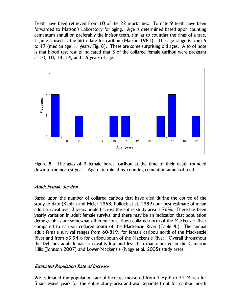Teeth have been retrieved from 10 of the 22 mortalities. To date 9 teeth have been forwarded to Matson's Laboratory for aging. Age is determined based upon counting cementum annuli on preferably the incisor teeth, similar to counting the rings of a tree. 1 June is used as the birth date for caribou (Matson 1981). The age range is from 5 to 17 (median age 11 years; Fig. 8). These are some surprising old ages. Also of note is that blood test results indicated that 5 of the collared female caribou were pregnant at 10, 10, 14, 14, and 16 years of age.



Figure 8. The ages of 9 female boreal caribou at the time of their death rounded down to the nearest year. Age determined by counting cementum annuli of teeth.

#### Adult Female Survival

Based upon the number of collared caribou that have died during the course of the study to date (Kaplan and Meier 1958; Pollock et al. 1989) our best estimate of mean adult survival over 3 years pooled across the entire study area is 76%. There has been yearly variation in adult female survival and there may be an indication that population demographics are somewhat different for caribou collared north of the Mackenzie River compared to caribou collared south of the Mackenzie River (Table 4.) The annual adult female survival ranges from 60-81% for female caribou north of the Mackenzie River and from 63-94% for caribou south of the Mackenzie River. Overall throughout the Dehcho, adult female survival is low and less than that reported in the Cameron Hills (Johnson 2007) and Lower Mackenzie (Nagy et al. 2005) study areas.

## Estimated Population Rate of Increase

We estimated the population rate of increase measured from 1 April to 31 March for 3 successive years for the entire study area and also separated out for caribou north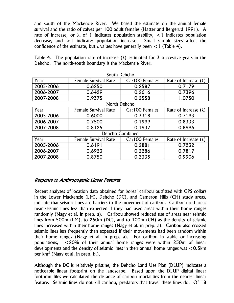and south of the Mackenzie River. We based the estimate on the annual female survival and the ratio of calves per 100 adult females (Hatter and Bergerud 1991). A rate of increase, or **λ,** of 1 indicates population stability, <1 indicates population decrease, and >1 indicates population increase. Small sample sizes affect the confidence of the estimate, but **λ** values have generally been <1 (Table 4).

Table 4. The population rate of increase (**λ**) estimated for 3 successive years in the Dehcho. The north-south boundary is the Mackenzie River.

| South Dencho           |                             |                |                              |  |  |  |  |  |
|------------------------|-----------------------------|----------------|------------------------------|--|--|--|--|--|
| Year                   | <b>Female Survival Rate</b> | Ca:100 Females | Rate of Increase $(\lambda)$ |  |  |  |  |  |
| 2005-2006              | 0.6250                      | 0.2587         | 0.7179                       |  |  |  |  |  |
| 2006-2007              | 0.6429                      | 0.2616         | 0.7396                       |  |  |  |  |  |
| 2007-2008              | 0.9375                      | 0.2558         | 1.0750                       |  |  |  |  |  |
|                        | North Dehcho                |                |                              |  |  |  |  |  |
| Year                   | <b>Female Survival Rate</b> | Ca:100 Females | Rate of Increase $(\lambda)$ |  |  |  |  |  |
| 2005-2006              | 0.6000                      | 0.3318         | 0.7193                       |  |  |  |  |  |
| 2006-2007              | 0.7500                      | 0.1999         | 0.8333                       |  |  |  |  |  |
| 2007-2008              | 0.8125                      | 0.1937         | 0.8996                       |  |  |  |  |  |
| <b>Dehcho Combined</b> |                             |                |                              |  |  |  |  |  |
| Year                   | <b>Female Survival Rate</b> | Ca:100 Females | Rate of Increase $(\lambda)$ |  |  |  |  |  |
| 2005-2006              | 0.6191                      | 0.2881         | 0.7232                       |  |  |  |  |  |
| 2006-2007              | 0.6923                      | 0.2286         | 0.7817                       |  |  |  |  |  |
| 2007-2008              | 0.8750                      | 0.2335         | 0.9906                       |  |  |  |  |  |

South Dehcho

## Response to Anthropogenic Linear Features

Recent analyses of location data obtained for boreal caribou outfitted with GPS collars in the Lower Mackenzie (LM), Dehcho (DC), and Cameron Hills (CH) study areas, indicate that seismic lines are barriers to the movement of caribou. Caribou used areas near seismic lines less than expected if they had used areas within their home ranges randomly (Nagy et al. in prep. a). Caribou showed reduced use of areas near seismic lines from 500m (LM), to 250m (DC), and to 100m (CH) as the density of seismic lines increased within their home ranges (Nagy et al. in prep. a). Caribou also crossed seismic lines less frequently than expected if their movements had been random within their home ranges (Nagy et al. in prep. a). For caribou in stable or increasing populations, <20% of their annual home ranges were within 250m of linear developments and the density of seismic lines in their annual home ranges was <0.5km per km2 (Nagy et al. in prep. b.).

Although the DC is relatively pristine, the Dehcho Land Use Plan (DLUP) indicates a noticeable linear footprint on the landscape. Based upon the DLUP digital linear footprint files we calculated the distance of caribou mortalities from the nearest linear feature. Seismic lines do not kill caribou, predators that travel these lines do. Of 18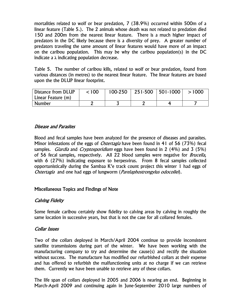mortalities related to wolf or bear predation, 7 (38.9%) occurred within 500m of a linear feature (Table 5.). The 2 animals whose death was not related to predation died 150 and 200m from the nearest linear feature. There is a much higher impact of predators in the DC likely because there is a diversity of prey. A greater number of predators traveling the same amount of linear features would have more of an impact on the caribou population. This may be why the caribou population(s) in the DC indicate a **λ** indicating population decrease.

Table 5. The number of caribou kills, related to wolf or bear predation, found from various distances (in metres) to the nearest linear feature. The linear features are based upon the the DLUP linear footprint.

| Distance from DLUP | < 100 | $100-250$   251-500   501-1000 | >1000 |
|--------------------|-------|--------------------------------|-------|
| Linear Feature (m) |       |                                |       |
| <b>Number</b>      |       |                                |       |

## Disease and Parasites

Blood and fecal samples have been analyzed for the presence of diseases and parasites. Minor infestations of the eggs of *Ostertagia* have been found in 41 of 56 (73%) fecal samples. *Giardia* and *Cryptosporidium* eggs have been found in 2 (4%) and 3 (5%) of 56 fecal samples, respectively. All 22 blood samples were negative for *Brucella*, with 6 (27%) indicating exposure to herpesvirus. From 8 fecal samples collected opportunistically during the Sambaa K'e track count project this winter 1 had eggs of Ostertagia and one had eggs of lungworm (*Parelaphostrongylus odocoilei*).

## Miscellaneous Topics and Findings of Note

## Calving Fidelty

Some female caribou certainly show fidelity to calving areas by calving in roughly the same location in successive years, but that is not the case for all collared females.

#### Collar Issues

Two of the collars deployed in March/April 2004 continue to provide inconsistent satellite transmissions during part of the winter. We have been working with the manufacturing company to try and determine the cause(s) and rectify the situation without success. The manufacture has modified our refurbished collars at their expense and has offered to refurbish the malfunctioning units at no charge if we can retrieve them. Currently we have been unable to retrieve any of these collars.

The life span of collars deployed in 2005 and 2006 is nearing an end. Beginning in March-April 2009 and continuing again in June-September 2010 large numbers of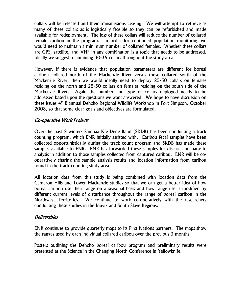collars will be released and their transmissions ceasing. We will attempt to retrieve as many of these collars as is logistically feasible so they can be refurbished and made available for redeployment. The loss of these collars will reduce the number of collared female caribou in the program. In order for continued population monitoring we would need to maintain a minimum number of collared females. Whether these collars are GPS, satellite, and VHF in any combination is a topic that needs to be addressed. Ideally we suggest maintaining 30-35 collars throughout the study area.

However, if there is evidence that population parameters are different for boreal caribou collared north of the Mackenzie River versus those collared south of the Mackenzie River, then we would ideally need to deploy 25-30 collars on females residing on the north and 25-30 collars on females residing on the south side of the Mackenzie River. Again the number and type of collars deployed needs to be addressed based upon the questions we want answered. We hope to have discussion on these issues 4<sup>th</sup> Biannual Dehcho Regional Wildlife Workshop in Fort Simpson, October 2008, so that some clear goals and objectives are formulated.

# Co-operative Work Projects

Over the past 2 winters Sambaa K'e Dene Band (SKDB) has been conducting a track counting program, which ENR initially assisted with. Caribou fecal samples have been collected opportunistically during the track count program and SKDB has made these samples available to ENR. ENR has forwarded these samples for disease and parasite analysis in addition to those samples collected from captured caribou. ENR will be cooperatively sharing the sample analysis results and location information from caribou found in the track counting study area.

All location data from this study is being combined with location data from the Cameron Hills and Lower Mackenzie studies so that we can get a better idea of how boreal caribou use their range on a seasonal basis and how range use is modified by different current levels of disturbance throughout the range of boreal caribou in the Northwest Territories. We continue to work co-operatively with the researchers conducting these studies in the Inuvik and South Slave Regions.

#### **Deliverables**

ENR continues to provide quarterly maps to its First Nations partners. The maps show the ranges used by each individual collared caribou over the previous 3 months.

Posters outlining the Dehcho boreal caribou program and preliminary results were presented at the Science in the Changing North Conference in Yellowknife.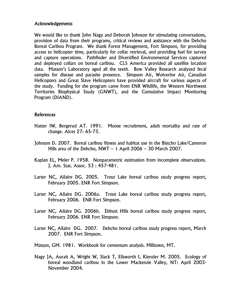#### **Acknowledgements**

We would like to thank John Nagy and Deborah Johnson for stimulating conversations, provision of data from their programs, critical reviews and assistance with the Dehcho Boreal Caribou Program. We thank Forest Management, Fort Simpson, for providing access to helicopter time, particularly for collar retrieval, and providing fuel for survey and capture operations. Pathfinder and Diversified Environmental Services captured and deployed collars on boreal caribou. CLS America provided all satellite location data. Matson's Laboratory aged all the teeth. Bow Valley Research analyzed fecal samples for disease and parasite presence. Simpson Air, Wolverine Air, Canadian Helicopters and Great Slave Helicopters have provided aircraft for various aspects of the study. Funding for the program came from ENR Wildlife, the Western Northwest Territories Biophysical Study (GNWT), and the Cumulative Impact Monitoring Program (DIAND).

#### References

- Hatter IW, Bergerud AT. 1991. Moose recruitment, adult mortality and rate of change. Alces 27: 65-73.
- Johnson D. 2007. Boreal caribou fitness and habitat use in the Bistcho Lake/Cameron Hills area of the Dehcho,  $NWT - 1$  April 2006 – 30 March 2007.
- Kaplan EL, Meier P. 1958. Nonparametric estimation from incomplete observations. J. Am. Stat. Assoc. 53 : 457-481.
- Larter NC, Allaire DG. 2005. Trout Lake boreal caribou study progress report, February 2005. ENR Fort Simpson.
- Larter NC, Allaire DG. 2006a. Trout Lake boreal caribou study progress report, February 2006. ENR Fort Simpson.
- Larter NC, Allaire DG. 2006b. Ebbutt Hills boreal caribou study progress report, February 2006. ENR Fort Simpson.
- Larter NC, Allaire DG. 2007. Dehcho boreal caribou study progress report, March 2007. ENR Fort Simpson.
- Matson, GM. 1981. Workbook for cementum analysis. Milltown, MT.
- Nagy JA, Aurait A, Wright W, Slack T, Ellsworth I, Kienzler M. 2005. Ecology of boreal woodland caribou in the Lower Mackenzie Valley, NT: April 2003- November 2004.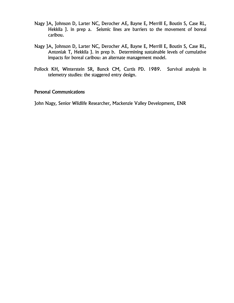- Nagy JA, Johnson D, Larter NC, Derocher AE, Bayne E, Merrill E, Boutin S, Case RL, Hekkila J. in prep a. Seismic lines are barriers to the movement of boreal caribou.
- Nagy JA, Johnson D, Larter NC, Derocher AE, Bayne E, Merrill E, Boutin S, Case RL, Antoniak T, Hekkila J. in prep b. Determining sustainable levels of cumulative impacts for boreal caribou: an alternate management model.
- Pollock KH, Winterstein SR, Bunck CM, Curtis PD. 1989. Survival analysis in telemetry studies: the staggered entry design.

## Personal Communications

John Nagy, Senior Wildlife Researcher, Mackenzie Valley Development, ENR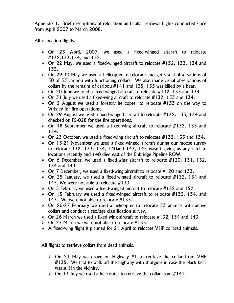Appendix 1. Brief descriptions of relocation and collar retrieval flights conducted since from April 2007 to March 2008.

All relocation flights.

- $\geq$  On 23 April, 2007, we used a fixed-winged aircraft to relocate #132,133,134, and 135.
- $\triangleright$  On 22 May, we used a fixed-winged aircraft to relocate #132, 133, 134 and 135.
- $\geq$  On 29-30 May we used a helicopter to relocate and get visual observations of 30 of 33 caribou with functioning collars. We also made visual observations of collars by the remains of caribou #141 and 135, 135 was killed by a bear.
- $\triangleright$  On 20 June we used a fixed-winged aircraft to relocate #132, 133 and 134.
- $\triangleright$  On 31 July we used a fixed-wing aircraft to relocate #132, 133 and 134.
- $\geq$  On 2 August we used a forestry helicopter to relocate #133 on the way to Wrigley for fire operations.
- $\triangleright$  On 29 August we used a fixed-winged aircraft to relocate #132, 133, 134 and checked on FS-028 for the fire operations.
- $\triangleright$  On 18 September we used a fixed-wing aircraft to relocate #132, 133 and 134.
- $\triangleright$  On 23 October, we used a fixed-wing aircraft to relocate #132, 133 and 134.
- $\geq$  On 15-21 November we used a fixed-winged aircraft during our moose survey to relocate 132, 133, 134, 140and 143, 143 wasn't giving us any satellite locations recently and 140 died east of the Enbridge Pipeline ROW.
- $\triangleright$  On 6 December, we used a fixed-wing aircraft to relocate #120, 131, 132, 134 and 143.
- $\triangleright$  On 7 December, we used a fixed-wing aircraft to relocate #120 and 133.
- $\geq$  On 25 January, we used a fixed-winged aircraft to relocate #132, 134 and 143. We were not able to relocate #133.
- $\triangleright$  On 5 February we used a fixed-winged aircraft to relocate #132 and 152.
- $\triangleright$  On 15 February we used a fixed-winged aircraft to relocate #132, 134, and 143. We were not able to relocate #133.
- $\geq$  On 26-27 February we used a helicopter to relocate 33 animals with active collars and conduct a sex/age classification survey.
- $\triangleright$  On 26 March we used a fixed-wing aircraft to relocate #132, 134 and 143.
- $\triangleright$  On 27 March we were not able to relocate #133.
- $\triangleright$  A fixed-wing flight is planned for 21 April to relocate VHF collared animals.

All flights to retrieve collars from dead animals.

- $\geq$  On 21 May we drove on Highway #1 to retrieve the collar from VHF #135. We had to walk off the highway with shotguns in case the black bear was still in the vicinity.
- $\triangleright$  On 13 July we used a helicopter to retrieve the collar from #141.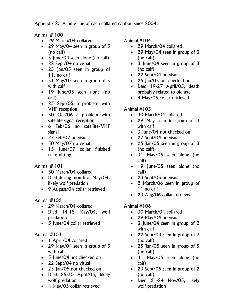Appendix 2. A time line of each collared caribou since 2004.

Animal # 100

- 29 March/04 collared
- 29 May/04 seen in group of 3 (no calf)
- 3 June/04 seen alone (no calf)
- 22 Sept/04 no visual
- 25 Jan/05 seen in group of 11, no calf
- 31 May/05 seen in group of 3 with calf
- 19 June/05 seen alone (no calf)
- 23 Sept/05 a problem with VHF reception
- 30 Oct/06 a problem with satellite signal reception
- 6 Feb/06 no satellite/VHF signal
- 27 Feb/07 no visual
- 30 May/07 no visual
- 15 June/07 collar finished transmitting

Animal # 101

- 30 March/04 collared
- Died during month of May/04, likely wolf predation
- 9 August/04 collar retrieved

# Animal #102

- 29 March/04 collared
- Died 14-15 May/04, wolf predation
- 3 June/04 collar retrieved

# Animal #103

- 1 April/04 collared
- 29 May/04 seen in group of 3 with calf
- 3 June/04 not checked on
- 22 Sept/04 no visual
- 25 Jan/05 not checked on
- Died 25-30 April/05, likely wolf predation
- 4 May/05 collar retrieved

Animal #104

- 29 March/04 collared
- 29 May/04 seen in group of 3 (no calf)
- 3 June/04 seen in group of 3 (no calf)
- 22 Sept/04 no visual
- 25 Jan/05 not checked on
- Died 19-27 April/05, death probably related to old age
- 4 May/05 collar retrieved

# Animal #105

- 30 March/04 collared
- 29 May seen in group of 3 with calf
- 3 June/04 not checked on
- 22 Sept/04 no visual
- 25 Jan/05 seen in group of 3 (no calf)
- 31 May/05 seen alone (no calf)
- 19 June/05 seen alone (no calf)
- 23 Sept/05 no visual
- 2 March/06 seen in group of 11 no calf
- 23 Aug/06 collar retrieved

- 30 March/04 collared
- 29 May/04 no visual
- 3 June/04 seen in group of 2 with calf
- 22 Sept/04 seen in group of 7 (no calf)
- 25 Jan/05 seen in group of 5 (no calf)
- 31 May/05 seen alone (no calf)
- 23 Sept/05 seen in group of 2 (no calf)
- Died 21-24 Nov/05, likely wolf predation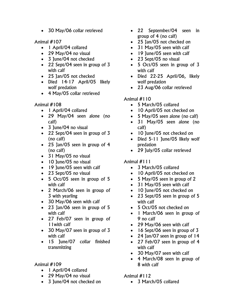• 30 May/06 collar retrieved

Animal #107

- 1 April/04 collared
- 29 May/04 no visual
- 3 June/04 not checked
- 22 Sept/04 seen in group of 3 with calf
- 25 Jan/05 not checked
- Died 14-17 April/05 likely wolf predation
- 4 May/05 collar retrieved

Animal #108

- 1 April/04 collared
- 29 May/04 seen alone (no calf)
- 3 June/04 no visual
- 22 Sept/04 seen in group of 3 (no calf)
- 25 Jan/05 seen in group of 4 (no calf)
- 31 May/05 no visual
- 10 June/05 no visual
- 19 June/05 seen with calf
- 23 Sept/05 no visual
- 5 Oct/05 seen in group of 5 with calf
- 2 March/06 seen in group of 3 with yearling
- 30 May/06 seen with calf
- 23 Jan/06 seen in group of 5 with calf
- 27 Feb/07 seen in group of 11with calf
- 30 May/07 seen in group of 3 with calf
- 15 June/07 collar finished transmitting

## Animal #109

- 1 April/04 collared
- 29 May/04 no visual
- 3 June/04 not checked on
- 22 September/04 seen in group of 4 (no calf)
- 25 Jan/05 not checked on
- 31 May/05 seen with calf
- 19 June/05 seen with calf
- 23 Sept/05 no visual
- 5 Oct/05 seen in group of 3 with calf
- Died 22-25 April/06, likely wolf predation
- 23 Aug/06 collar retrieved

# Animal #110

- 5 March/05 collared
- 10 April/05 not checked on
- 5 May/05 seen alone (no calf)
- 31 May/05 seen alone (no calf)
- 10 June/05 not checked on
- Died 5-11 June/05 likely wolf predation
- 29 July/05 collar retrieved

# Animal #111

- 3 March/05 collared
- 10 April/05 not checked on
- 5 May/05 seen in group of 2
- 31 May/05 seen with calf
- 10 June/05 not checked on
- 23 Sept/05 seen in group of 5 with calf
- 5 Oct/05 not checked on
- 1 March/06 seen in group of 9 no calf
- 29 May/06 seen with calf
- 16 Sept/06 seen in group of 3
- 24 Jan/07 seen in group of 14
- 27 Feb/07 seen in group of 4 with calf
- 30 May/07 seen with calf
- 4 March/08 seen in group of 8 with calf

# Animal #112

• 3 March/05 collared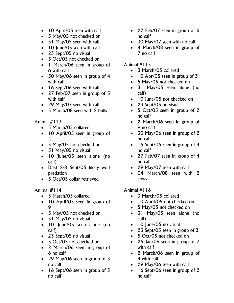- 10 April/05 seen with calf
- 5 May/05 not checked on
- 31 May/05 seen with calf
- 10 June/05 seen with calf
- 23 Sept/05 no visual
- 5 Oct/05 not checked on
- 1 March/06 seen in group of 6 with calf
- 30 May/06 seen in group of 4 with calf
- 16 Sept/06 seen with calf
- 27 Feb/07 seen in group of 5 with calf
- 29 May/07 seen with calf
- 5 March/08 seen with 2 bulls

- 3 March/05 collared
- 10 April/05 seen in group of 4
- 5 May/05 not checked on
- 31 May/05 no visual
- 10 June/05 seen alone (no calf)
- Died 2-8 Sept/05 likely wolf predation
- 5 Oct/05 collar retrieved

#### Animal #114

- 3 March/05 collared
- 10 April/05 seen in group of  $\mathsf{Q}$
- 5 May/05 not checked on
- 31 May/05 no visual
- 10 June/05 seen alone (no calf)
- 23 Sept/05 no visual
- 5 Oct/05 not checked on
- 2 March/06 seen in group of 6 no calf
- 29 May/06 seen in group of 3 no calf
- 16 Sept/06 seen in group of 3 no calf
- 27 Feb/O7 seen in group of 6 no calf
- 30 May/07 seen with no calf
- 4 March/08 seen in group of 7 no calf

#### Animal #115

- 3 March/05 collared
- 10 Apr/05 seen in group of 3
- 5 May/05 not checked on
- 31 May/05 seen alone (no calf)
- 10 June/05 not checked on
- 23 Sept/05 no visual
- 5 Oct/05 seen in group of 2 no calf
- 2 March/06 seen in group of 9 no calf
- 30 May/06 seen in group of 2 no calf
- 16 Sept/06 seen in group of 4 no calf
- 27 Feb/07 seen in group of 4 no calf
- 29 May/07 seen with calf
- 04 March/08 seen with 2 cows

- 3 March/05 collared
- 10 April/05 not checked on
- 5 May/05 not checked on
- 31 May/05 seen alone (no calf)
- 10 June/05 no visual
- 23 Sept/05 seen in group of 3
- 5 Oct/05 not checked on
- 26 Jan/06 seen in group of 7 with calf
- 2 March/06 seen in group of 4 with calf
- 29 May/06 seen with calf
- 16 Sept/06 seen in group of 2 no calf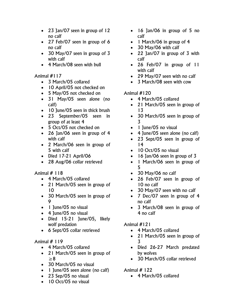- 23 Jan/07 seen in group of 12 no calf
- 27 Feb/07 seen in group of 6 no calf
- 30 May/07 seen in group of 3 with calf
- 4 March/08 seen with bull

- 3 March/05 collared
- 10 April/05 not checked on
- 5 May/05 not checked on
- 31 May/05 seen alone (no calf)
- 10 June/05 seen in thick brush
- 23 September/05 seen in group of at least 4
- 5 Oct/05 not checked on
- 26 Jan/06 seen in group of 4 with calf
- 2 March/06 seen in group of 5 with calf
- Died 17-21 April/06
- 28 Aug/06 collar retrieved

# Animal # 118

- 4 March/05 collared
- 21 March/05 seen in group of 10
- 30 March/05 seen in group of 9
- 1 June/05 no visual
- 4 June/05 no visual
- Died 15-21 June/05, likely wolf predation
- 6 Sept/05 collar retrieved

# Animal # 119

- 4 March/05 collared
- 21 March/05 seen in group of ≥8
- 30 March/05 no visual
- 1 June/05 seen alone (no calf)
- 23 Sep/05 no visual
- 10 Oct/05 no visual
- 16 Jan/06 in group of 5 no calf
- 1 March/06 in group of 4
- 30 May/06 with calf
- 22 Jan/07 in group of 3 with calf
- 26 Feb/07 in group of 11 with calf
- 29 May/07 seen with no calf
- 3 March/08 seen with cow

# Animal #120

- 4 March/05 collared
- 21 March/05 seen in group of 13
- 30 March/05 seen in group of 3
- 1 June/05 no visual
- 4 June/05 seen alone (no calf)
- 23 Sept/05 seen in group of 14
- 10 Oct/05 no visual
- 16 Jan/06 seen in group of 3
- 1 March/06 seen in group of 5
- 30 May/06 no calf
- 26 Feb/07 seen in group of 10 no calf
- 30 May/07 seen with no calf
- 7 Dec/07 seen in group of 4 no calf
- 3 March/08 seen in group of 4 no calf

# Animal #121

- 4 March/05 collared
- 21 March/05 seen in group of 3
- Died 26-27 March predated by wolves
- 30 March/05 collar retrieved

# Animal # 122

• 4 March/05 collared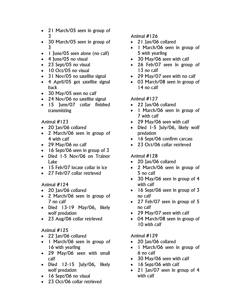- 21 March/05 seen in group of 3
- 30 March/05 seen in group of 3
- 1 June/05 seen alone (no calf)
- 4 June/05 no visual
- 23 Sept/05 no visual
- 10 Oct/05 no visual
- 31 Nov/05 no satellite signal
- 4 April/05 got satellite signal back
- 30 May/05 seen no calf
- 24 Nov/06 no satellite signal
- 15 June/07 collar finished transmitting

- 20 Jan/06 collared
- 2 March/06 seen in group of 4 with calf
- 29 May/06 no calf
- 16 Sept/06 seen in group of 3
- Died 1-5 Nov/06 on Trainor Lake
- 15 Feb/07 locate collar in ice
- 27 Feb/07 collar retrieved

## Animal #124

- 20 Jan/06 collared
- 2 March/06 seen in group of 7 no calf
- Died 13-19 May/06, likely wolf predation
- 23 Aug/06 collar retrieved

# Animal #125

- 22 Jan/06 collared
- 1 March/06 seen in group of 16 with yearling
- 29 May/06 seen with small calf
- Died 12-15 July/06, likely wolf predation
- 16 Sept/06 no visual
- 23 Oct/06 collar retrieved

# Animal #126

- 21 Jan/06 collared
- 1 March/06 seen in group of 5 with yearling
- 30 May/06 seen with calf
- 26 Feb/07 seen in group of 13 no calf
- 29 May/07 seen with no calf
- 03 March/08 seen in group of 14 no calf

# Animal #127

- 22 Jan/06 collared
- 1 March/06 seen in group of 7 with calf
- 29 May/06 seen with calf
- Died 1-5 July/06, likely wolf predation
- 16 Sept/06 confirm carcass
- 23 Oct/06 collar retrieved

# Animal #128

- 20 Jan/06 collared
- 2 March/06 seen in group of 5 no calf
- 30 May/06 seen in group of 4 with calf
- 16 Sept/06 seen in group of 3 no calf
- 27 Feb/07 seen in group of 5 no calf
- 29 May/07 seen with calf
- 04 March/08 seen in group of 10 with calf

- 20 Jan/06 collared
- 1 March/06 seen in group of 6 no calf
- 30 May/06 seen with calf
- 16 Sept/06 with calf
- 21 Jan/07 seen in group of 4 with calf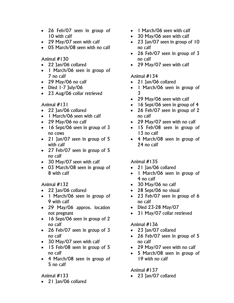- 26 Feb/07 seen in group of 10 with calf
- 29 May/07 seen with calf
- 05 March/08 seen with no calf

- 22 Jan/06 collared
- 1 March/06 seen in group of 7 no calf
- 29 May/06 no calf
- Died 1-7 July/06
- 23 Aug/06 collar retrieved

Animal #131

- 22 Jan/06 collared
- 1 March/06 seen with calf
- 29 May/06 no calf
- 16 Sept/06 seen in group of 3 no cows
- 21 Jan/07 seen in group of 5 with calf
- 27 Feb/07 seen in group of 5 no calf
- 30 May/07 seen with calf
- 03 March/08 seen in group of 8 with calf

Animal #132

- 22 Jan/06 collared
- 1 March/06 seen in group of 9 with calf
- 29 May/06 approx. location not pregnant
- 16 Sept/06 seen in group of 2 no calf
- 26 Feb/07 seen in group of 3 no calf
- 30 May/07 seen with calf
- 15 Feb/O8 seen in group of 5 no calf
- 4 March/08 seen in group of 5 no calf

# Animal #133

• 21 Jan/06 collared

- 1 March/06 seen with calf
- 30 May/06 seen with calf
- 23 Jan/07 seen in group of 10 no calf
- 26 Feb/07 seen in group of 3 no calf
- 29 May/07 seen with calf

# Animal #134

- 21 Jan/06 collared
- 1 March/06 seen in group of 3
- 29 May/06 seen with calf
- 16 Sept/06 seen in group of 4
- 26 Feb/07 seen in group of 2 no calf
- 29 May/07 seen with no calf
- 15 Feb/08 seen in group of 13 no calf
- 4 March/08 seen in group of 24 no calf

# Animal #135

- 21 Jan/06 collared
- 1 March/06 seen in group of 4 no calf
- 30 May/06 no calf
- 28 Sept/06 no visual
- 23 Feb/07 seen in group of 6 no calf
- Died 23-28 May/07
- 31 May/07 collar retrieved

# Animal #136

- 23 Jan/07 collared
- 26 Feb/07 seen in group of 5 no calf
- 29 May/07 seen with no calf
- 5 March/08 seen in group of 19 with no calf

# Animal #137

• 23 Jan/07 collared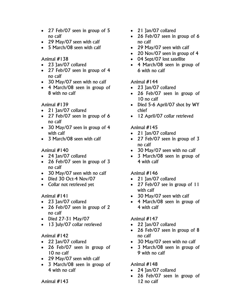- 27 Feb/07 seen in group of 5 no calf
- 29 May/07 seen with calf
- 5 March/08 seen with calf

- 23 Jan/07 collared
- 27 Feb/07 seen in group of 4 no calf
- 30 May/07 seen with no calf
- 4 March/08 seen in group of 8 with no calf

# Animal #139

- 21 Jan/07 collared
- 27 Feb/07 seen in group of 6 no calf
- 30 May/07 seen in group of 4 with calf
- 3 March/08 seen with calf

# Animal #140

- 24 Jan/07 collared
- 26 Feb/07 seen in group of 3 no calf
- 30 May/07 seen with no calf
- Died 30 Oct-4 Nov/07
- Collar not retrieved yet

## Animal #141

- 23 Jan/07 collared
- 26 Feb/07 seen in group of 2 no calf
- Died 27-31 May/07
- 13 July/07 collar retrieved

## Animal #142

- 22 Jan/07 collared
- 26 Feb/07 seen in group of 10 no calf
- 29 May/07 seen with calf
- 3 March/08 seen in group of 4 with no calf
- 21 Jan/07 collared
- 26 Feb/07 seen in group of 6 no calf
- 29 May/07 seen with calf
- 20 Nov/07 seen in group of 4
- 04 Sept/07 lost satellite
- 4 March/08 seen in group of 6 with no calf

# Animal #144

- 23 Jan/07 collared
- 26 Feb/07 seen in group of 10 no calf
- Died 5-6 April/07 shot by WY chief
- 12 April/07 collar retrieved

# Animal #145

- 21 Jan/07 collared
- 27 Feb/07 seen in group of 3 no calf
- 30 May/07 seen with no calf
- 3 March/08 seen in group of 4 with calf

## Animal #146

- 21 Jan/07 collared
- 27 Feb/07 see in group of 11 with calf
- 30 May/07 seen with calf
- 4 March/08 seen in group of 4 with calf

# Animal #147

- 22 Jan/07 collared
- 26 Feb/07 seen in group of 8 no calf
- 30 May/07 seen with no calf
- 3 March/08 seen in group of 9 with no calf

# Animal #148

- 24 Jan/07 collared
- 26 Feb/07 seen in group of 12 no calf